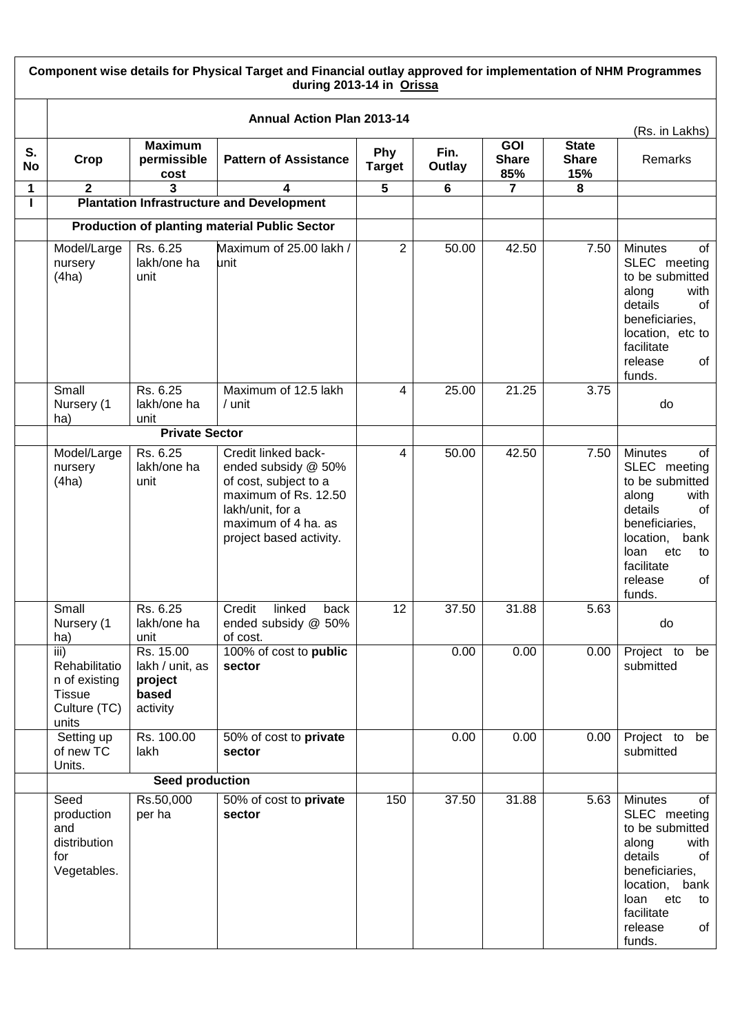|                 | Component wise details for Physical Target and Financial outlay approved for implementation of NHM Programmes<br>during 2013-14 in Orissa |                                                              |                                                                                                                                                                   |                             |                |                                   |                                     |                                                                                                                                                                                                |  |
|-----------------|-------------------------------------------------------------------------------------------------------------------------------------------|--------------------------------------------------------------|-------------------------------------------------------------------------------------------------------------------------------------------------------------------|-----------------------------|----------------|-----------------------------------|-------------------------------------|------------------------------------------------------------------------------------------------------------------------------------------------------------------------------------------------|--|
|                 |                                                                                                                                           |                                                              | <b>Annual Action Plan 2013-14</b>                                                                                                                                 |                             |                |                                   |                                     |                                                                                                                                                                                                |  |
| S.<br><b>No</b> | Crop                                                                                                                                      | <b>Maximum</b><br>permissible<br>cost                        | <b>Pattern of Assistance</b>                                                                                                                                      | <b>Phy</b><br><b>Target</b> | Fin.<br>Outlay | <b>GOI</b><br><b>Share</b><br>85% | <b>State</b><br><b>Share</b><br>15% | (Rs. in Lakhs)<br>Remarks                                                                                                                                                                      |  |
| 1               | $\mathbf{2}$                                                                                                                              | 3                                                            |                                                                                                                                                                   | $\overline{\mathbf{5}}$     | 6              | 7                                 | 8                                   |                                                                                                                                                                                                |  |
|                 |                                                                                                                                           |                                                              | <b>Plantation Infrastructure and Development</b>                                                                                                                  |                             |                |                                   |                                     |                                                                                                                                                                                                |  |
|                 |                                                                                                                                           |                                                              | <b>Production of planting material Public Sector</b>                                                                                                              |                             |                |                                   |                                     |                                                                                                                                                                                                |  |
|                 | Model/Large<br>nursery<br>(4ha)                                                                                                           | Rs. 6.25<br>lakh/one ha<br>unit                              | Maximum of 25.00 lakh /<br>unit                                                                                                                                   | $\overline{2}$              | 50.00          | 42.50                             | 7.50                                | <b>Minutes</b><br>οf<br>SLEC meeting<br>to be submitted<br>with<br>along<br>details<br>of<br>beneficiaries,<br>location, etc to<br>facilitate<br>release<br>of<br>funds.                       |  |
|                 | Small<br>Nursery (1<br>ha)                                                                                                                | Rs. 6.25<br>lakh/one ha<br>unit                              | Maximum of 12.5 lakh<br>/ unit                                                                                                                                    | 4                           | 25.00          | 21.25                             | 3.75                                | do                                                                                                                                                                                             |  |
|                 |                                                                                                                                           | <b>Private Sector</b>                                        |                                                                                                                                                                   |                             |                |                                   |                                     |                                                                                                                                                                                                |  |
|                 | Model/Large<br>nursery<br>(4ha)                                                                                                           | Rs. 6.25<br>lakh/one ha<br>unit                              | Credit linked back-<br>ended subsidy @ 50%<br>of cost, subject to a<br>maximum of Rs. 12.50<br>lakh/unit, for a<br>maximum of 4 ha. as<br>project based activity. | 4                           | 50.00          | 42.50                             | 7.50                                | <b>Minutes</b><br>of<br>SLEC meeting<br>to be submitted<br>along<br>with<br>details<br>of<br>beneficiaries,<br>location,<br>bank<br>loan<br>etc<br>to<br>facilitate<br>release<br>of<br>funds. |  |
|                 | Small<br>Nursery (1<br>ha)                                                                                                                | Rs. 6.25<br>lakh/one ha<br>unit                              | Credit<br>linked<br>back<br>ended subsidy @ 50%<br>of cost.                                                                                                       | 12                          | 37.50          | 31.88                             | 5.63                                | do                                                                                                                                                                                             |  |
|                 | $\overline{iii}$<br>Rehabilitatio<br>n of existing<br><b>Tissue</b><br>Culture (TC)<br>units                                              | Rs. 15.00<br>lakh / unit, as<br>project<br>based<br>activity | 100% of cost to public<br>sector                                                                                                                                  |                             | 0.00           | 0.00                              | 0.00                                | Project to be<br>submitted                                                                                                                                                                     |  |
|                 | Setting up<br>of new TC<br>Units.                                                                                                         | Rs. 100.00<br>lakh                                           | 50% of cost to private<br>sector                                                                                                                                  |                             | 0.00           | 0.00                              | 0.00                                | Project to be<br>submitted                                                                                                                                                                     |  |
|                 |                                                                                                                                           | Seed production                                              |                                                                                                                                                                   |                             |                |                                   |                                     |                                                                                                                                                                                                |  |
|                 | Seed<br>production<br>and<br>distribution<br>for<br>Vegetables.                                                                           | Rs.50,000<br>per ha                                          | 50% of cost to private<br>sector                                                                                                                                  | 150                         | 37.50          | 31.88                             | 5.63                                | <b>Minutes</b><br>of<br>SLEC meeting<br>to be submitted<br>along<br>with<br>details<br>of<br>beneficiaries,<br>location, bank<br>etc<br>loan<br>to<br>facilitate<br>release<br>of<br>funds.    |  |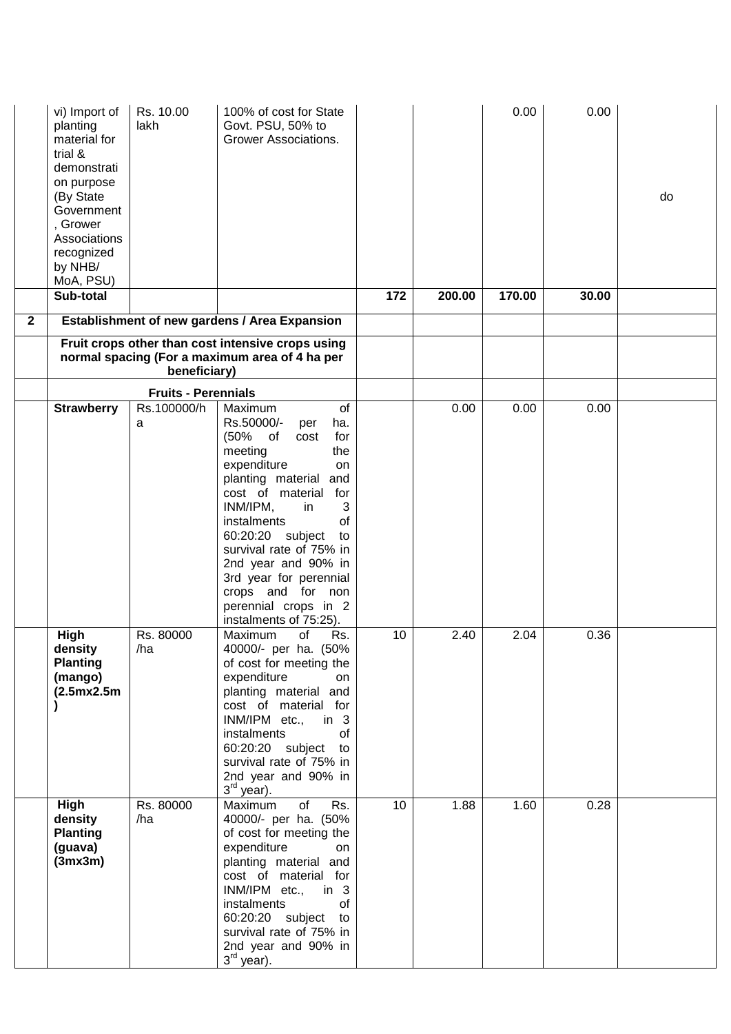|              | vi) Import of<br>planting<br>material for<br>trial &<br>demonstrati<br>on purpose<br>(By State<br>Government<br>, Grower<br>Associations<br>recognized<br>by NHB/<br>MoA, PSU) | Rs. 10.00<br>lakh                         | 100% of cost for State<br>Govt. PSU, 50% to<br>Grower Associations.                                                                                                                                                                                                                                                                                                               |                 |        | 0.00   | 0.00  | do |
|--------------|--------------------------------------------------------------------------------------------------------------------------------------------------------------------------------|-------------------------------------------|-----------------------------------------------------------------------------------------------------------------------------------------------------------------------------------------------------------------------------------------------------------------------------------------------------------------------------------------------------------------------------------|-----------------|--------|--------|-------|----|
| $\mathbf{2}$ | Sub-total                                                                                                                                                                      |                                           | Establishment of new gardens / Area Expansion                                                                                                                                                                                                                                                                                                                                     | 172             | 200.00 | 170.00 | 30.00 |    |
|              |                                                                                                                                                                                | beneficiary)                              | Fruit crops other than cost intensive crops using<br>normal spacing (For a maximum area of 4 ha per                                                                                                                                                                                                                                                                               |                 |        |        |       |    |
|              |                                                                                                                                                                                |                                           |                                                                                                                                                                                                                                                                                                                                                                                   |                 |        |        |       |    |
|              | <b>Strawberry</b>                                                                                                                                                              | <b>Fruits - Perennials</b><br>Rs.100000/h | Maximum<br>of                                                                                                                                                                                                                                                                                                                                                                     |                 | 0.00   | 0.00   | 0.00  |    |
|              |                                                                                                                                                                                | a                                         | Rs.50000/-<br>ha.<br>per<br>(50%<br>$\circ$ of<br>for<br>cost<br>meeting<br>the<br>expenditure<br>on<br>planting material and<br>cost of material<br>for<br>INM/IPM,<br>3<br>in<br>of<br>instalments<br>60:20:20 subject<br>to<br>survival rate of 75% in<br>2nd year and 90% in<br>3rd year for perennial<br>crops and for non<br>perennial crops in 2<br>instalments of 75:25). |                 |        |        |       |    |
|              | High<br>density<br><b>Planting</b><br>(mango)<br>(2.5mx2.5m)                                                                                                                   | Rs. 80000<br>/ha                          | Rs.<br>of<br>Maximum<br>40000/- per ha. (50%<br>of cost for meeting the<br>expenditure<br>on<br>planting material and<br>cost of material for<br>INM/IPM etc., in 3<br>instalments<br>0f<br>60:20:20 subject to<br>survival rate of 75% in<br>2nd year and 90% in<br>3 <sup>rd</sup> year).                                                                                       | 10              | 2.40   | 2.04   | 0.36  |    |
|              | High<br>density<br><b>Planting</b><br>(guava)<br>(3mx3m)                                                                                                                       | Rs. 80000<br>/ha                          | Rs.<br>Maximum<br>of<br>40000/- per ha. (50%<br>of cost for meeting the<br>expenditure<br>on<br>planting material and<br>cost of material for<br>INM/IPM etc.,<br>in $3$<br>instalments<br>of<br>60:20:20 subject to<br>survival rate of 75% in<br>2nd year and 90% in<br>3 <sup>rd</sup> year).                                                                                  | 10 <sup>°</sup> | 1.88   | 1.60   | 0.28  |    |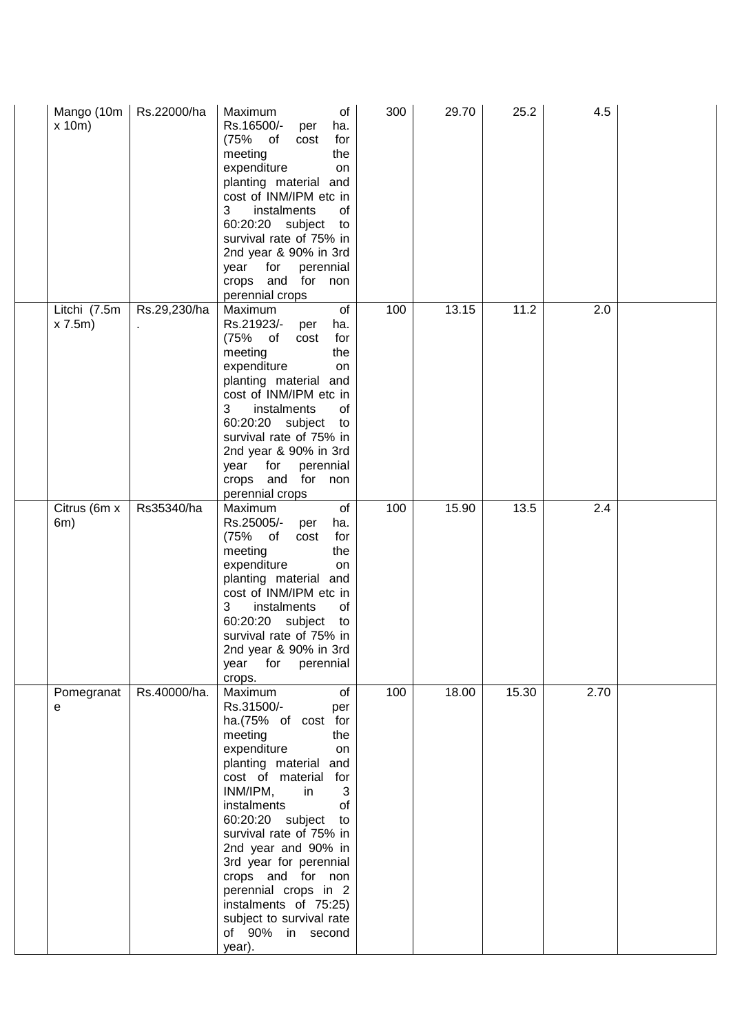| Mango (10m<br>x 10m    | Rs.22000/ha  | Maximum<br>of<br>Rs.16500/-<br>per<br>ha.<br>(75% of<br>cost<br>for<br>meeting<br>the<br>expenditure<br>on<br>planting material and<br>cost of INM/IPM etc in<br>3<br>instalments<br>0f<br>60:20:20 subject<br>to<br>survival rate of 75% in<br>2nd year & 90% in 3rd<br>year for perennial<br>crops and for non<br>perennial crops                                                                                              | 300 | 29.70 | 25.2  | 4.5  |  |
|------------------------|--------------|----------------------------------------------------------------------------------------------------------------------------------------------------------------------------------------------------------------------------------------------------------------------------------------------------------------------------------------------------------------------------------------------------------------------------------|-----|-------|-------|------|--|
| Litchi (7.5m<br>x 7.5m | Rs.29,230/ha | of<br>Maximum<br>Rs.21923/-<br>ha.<br>per<br>(75% of<br>cost<br>for<br>meeting<br>the<br>expenditure<br>on<br>planting material and<br>cost of INM/IPM etc in<br>3<br>instalments<br>of<br>60:20:20 subject to<br>survival rate of 75% in<br>2nd year & 90% in 3rd<br>year for perennial<br>crops and for non<br>perennial crops                                                                                                 | 100 | 13.15 | 11.2  | 2.0  |  |
| Citrus (6m x<br>6m)    | Rs35340/ha   | Maximum<br>of<br>Rs.25005/-<br>per<br>ha.<br>(75% of<br>cost<br>for<br>meeting<br>the<br>expenditure<br>on<br>planting material and<br>cost of INM/IPM etc in<br>3<br>instalments<br>οf<br>60:20:20 subject<br>to<br>survival rate of 75% in<br>2nd year & 90% in 3rd<br>year for perennial<br>crops.                                                                                                                            | 100 | 15.90 | 13.5  | 2.4  |  |
| Pomegranat<br>е        | Rs.40000/ha. | Maximum<br>of<br>Rs.31500/-<br>per<br>ha.(75% of cost for<br>meeting<br>the<br>expenditure<br>on<br>planting material and<br>cost of material for<br>INM/IPM,<br>3<br>in<br>of<br>instalments<br>60:20:20 subject to<br>survival rate of 75% in<br>2nd year and 90% in<br>3rd year for perennial<br>crops and for non<br>perennial crops in 2<br>instalments of 75:25)<br>subject to survival rate<br>of 90% in second<br>year). | 100 | 18.00 | 15.30 | 2.70 |  |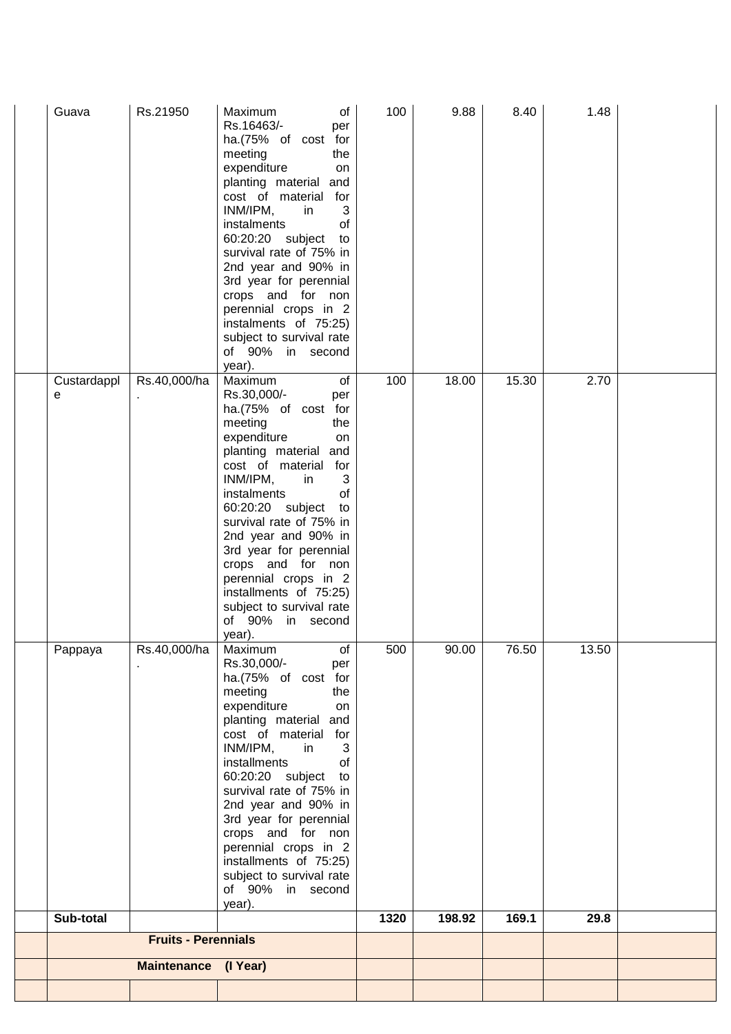| Guava            | Rs.21950                    | Maximum<br>of<br>Rs.16463/-<br>per<br>ha.(75% of cost for<br>meeting<br>the<br>expenditure<br>on<br>planting material and<br>cost of material for<br>INM/IPM,<br>in<br>3<br>instalments<br>of<br>60:20:20 subject<br>to<br>survival rate of 75% in<br>2nd year and 90% in<br>3rd year for perennial<br>crops and for non<br>perennial crops in 2<br>instalments of 75:25)<br>subject to survival rate<br>of 90% in second<br>year).                  | 100  | 9.88   | 8.40  | 1.48  |  |
|------------------|-----------------------------|------------------------------------------------------------------------------------------------------------------------------------------------------------------------------------------------------------------------------------------------------------------------------------------------------------------------------------------------------------------------------------------------------------------------------------------------------|------|--------|-------|-------|--|
| Custardappl<br>е | Rs.40,000/ha                | Maximum<br>of<br>Rs.30,000/-<br>per<br>ha.(75% of cost for<br>meeting<br>the<br>expenditure<br>on<br>planting material and<br>cost of material for<br>INM/IPM,<br>in<br>3<br>instalments<br>of<br>60:20:20 subject<br>to<br>survival rate of 75% in<br>2nd year and 90% in<br>3rd year for perennial<br>crops and for non<br>perennial crops in 2<br>installments of 75:25)<br>subject to survival rate<br>of 90% in second<br>year).                | 100  | 18.00  | 15.30 | 2.70  |  |
| Pappaya          | Rs.40,000/ha   Maximum      | $\overline{\phantom{a}}$ of<br>Rs.30,000/-<br>per<br>ha.(75% of cost for<br>meeting<br>the<br>expenditure<br>on<br>planting material and<br>cost of material for<br>INM/IPM,<br>in<br>3<br>installments<br>οf<br>60:20:20 subject<br>to<br>survival rate of 75% in<br>2nd year and 90% in<br>3rd year for perennial<br>crops and for non<br>perennial crops in 2<br>installments of 75:25)<br>subject to survival rate<br>of 90% in second<br>year). | 500  | 90.00  | 76.50 | 13.50 |  |
| Sub-total        |                             |                                                                                                                                                                                                                                                                                                                                                                                                                                                      | 1320 | 198.92 | 169.1 | 29.8  |  |
|                  | <b>Fruits - Perennials</b>  |                                                                                                                                                                                                                                                                                                                                                                                                                                                      |      |        |       |       |  |
|                  | <b>Maintenance (I Year)</b> |                                                                                                                                                                                                                                                                                                                                                                                                                                                      |      |        |       |       |  |
|                  |                             |                                                                                                                                                                                                                                                                                                                                                                                                                                                      |      |        |       |       |  |
|                  |                             |                                                                                                                                                                                                                                                                                                                                                                                                                                                      |      |        |       |       |  |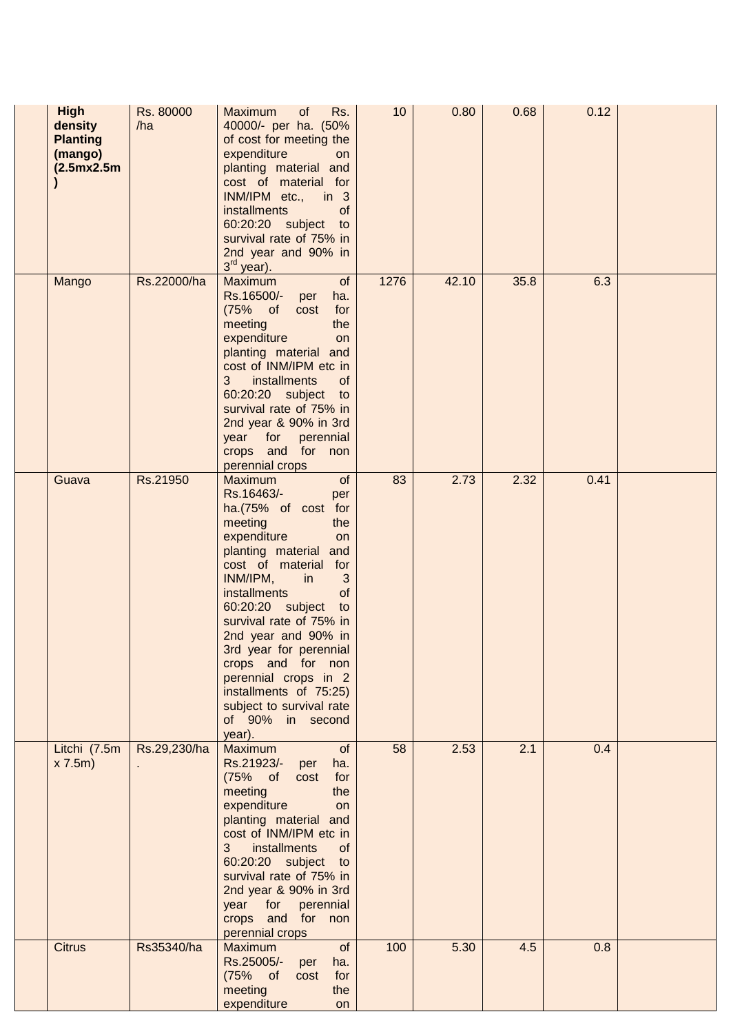| <b>High</b><br>density<br><b>Planting</b><br>(mango)<br>(2.5mx2.5m) | Rs. 80000<br>/ha | Maximum<br>Rs.<br>of<br>40000/- per ha. (50%<br>of cost for meeting the<br>expenditure<br>on<br>planting material and<br>cost of material for<br>INM/IPM etc., in 3<br>installments<br><b>of</b><br>60:20:20 subject to<br>survival rate of 75% in<br>2nd year and 90% in<br>$3rd$ year).                                                                                                                                       | 10 <sup>°</sup> | 0.80  | 0.68 | 0.12 |  |
|---------------------------------------------------------------------|------------------|---------------------------------------------------------------------------------------------------------------------------------------------------------------------------------------------------------------------------------------------------------------------------------------------------------------------------------------------------------------------------------------------------------------------------------|-----------------|-------|------|------|--|
| Mango                                                               | Rs.22000/ha      | of<br><b>Maximum</b><br>Rs.16500/- per<br>ha.<br>(75% of<br>cost<br>for<br>meeting<br>the<br>expenditure<br>on<br>planting material and<br>cost of INM/IPM etc in<br>3 <sup>7</sup><br>installments<br><sub>of</sub><br>60:20:20 subject to<br>survival rate of 75% in<br>2nd year & 90% in 3rd<br>year for perennial<br>crops and for non<br>perennial crops                                                                   | 1276            | 42.10 | 35.8 | 6.3  |  |
| Guava                                                               | Rs.21950         | Maximum<br>of<br>Rs.16463/-<br>per<br>ha.(75% of cost for<br>meeting<br>the<br>expenditure<br>on<br>planting material and<br>cost of material for<br>INM/IPM, in<br>3<br>installments<br>of<br>60:20:20 subject to<br>survival rate of 75% in<br>2nd year and 90% in<br>3rd year for perennial<br>crops and for non<br>perennial crops in 2<br>installments of 75:25)<br>subject to survival rate<br>of 90% in second<br>year). | 83              | 2.73  | 2.32 | 0.41 |  |
| Litchi (7.5m<br>x 7.5m                                              | Rs.29,230/ha     | Maximum<br>of<br>Rs.21923/-<br>ha.<br>per<br>$(75\% \text{ of }$<br>for<br>cost<br>meeting<br>the<br>expenditure<br>on<br>planting material and<br>cost of INM/IPM etc in<br>installments<br>3<br><b>of</b><br>60:20:20 subject to<br>survival rate of 75% in<br>2nd year & 90% in 3rd<br>year for perennial<br>crops and for non<br>perennial crops                                                                            | 58              | 2.53  | 2.1  | 0.4  |  |
| <b>Citrus</b>                                                       | Rs35340/ha       | Maximum<br>of<br>Rs.25005/- per<br>ha.<br>(75% of<br>for<br>cost<br>meeting<br>the<br>expenditure<br>on                                                                                                                                                                                                                                                                                                                         | 100             | 5.30  | 4.5  | 0.8  |  |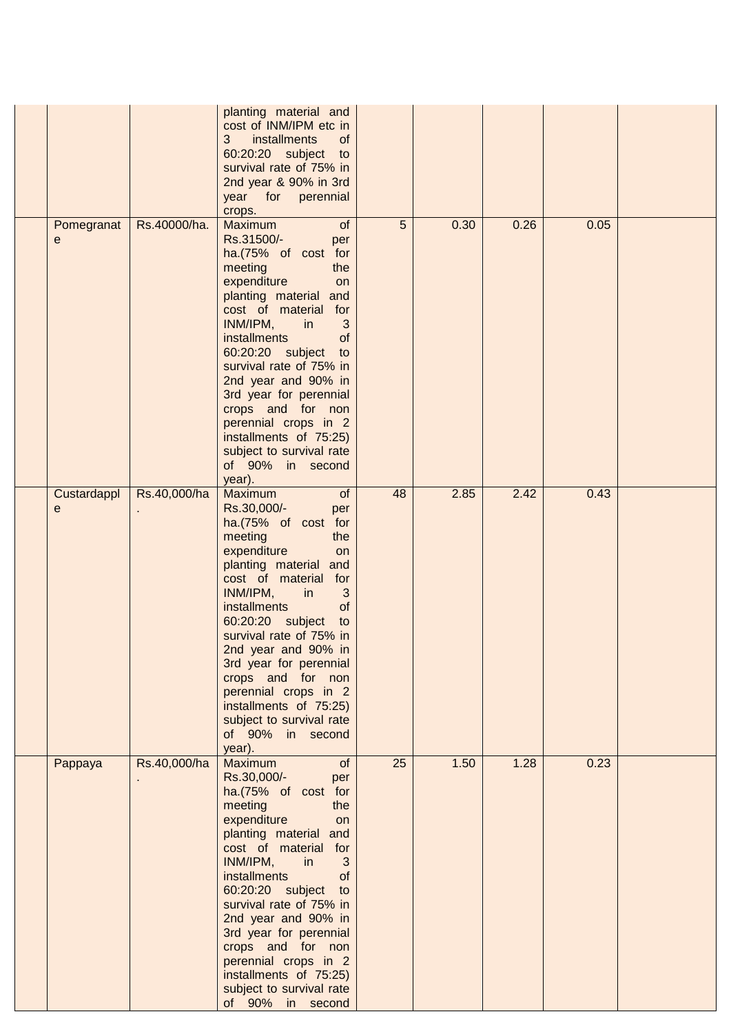|  |                  |              | planting material and<br>cost of INM/IPM etc in<br>installments<br>of<br>3<br>60:20:20 subject to<br>survival rate of 75% in<br>2nd year & 90% in 3rd<br>year for perennial<br>crops.                                                                                                                                                                                                                                                                   |    |      |      |      |  |
|--|------------------|--------------|---------------------------------------------------------------------------------------------------------------------------------------------------------------------------------------------------------------------------------------------------------------------------------------------------------------------------------------------------------------------------------------------------------------------------------------------------------|----|------|------|------|--|
|  | Pomegranat<br>е  | Rs.40000/ha. | Maximum<br>of<br>Rs.31500/-<br>per<br>ha.(75% of cost for<br>meeting<br>the<br>expenditure<br>on<br>planting material and<br>cost of material for<br>INM/IPM,<br>3<br>in<br><i>installments</i><br>of<br>60:20:20 subject to<br>survival rate of 75% in<br>2nd year and 90% in<br>3rd year for perennial<br>crops and for non<br>perennial crops in 2<br>installments of 75:25)<br>subject to survival rate<br>of 90% in second<br>year).               | 5  | 0.30 | 0.26 | 0.05 |  |
|  | Custardappl<br>е | Rs.40,000/ha | Maximum<br>of<br>Rs.30,000/-<br>per<br>ha.(75% of cost for<br>meeting<br>the<br>expenditure<br><b>on</b><br>planting material and<br>cost of material<br>for<br>INM/IPM,<br>3<br>in<br>installments<br><b>of</b><br>60:20:20 subject<br>to<br>survival rate of 75% in<br>2nd year and 90% in<br>3rd year for perennial<br>crops and for non<br>perennial crops in 2<br>installments of 75:25)<br>subject to survival rate<br>of 90% in second<br>year). | 48 | 2.85 | 2.42 | 0.43 |  |
|  | Pappaya          | Rs.40,000/ha | Maximum<br>of<br>Rs.30,000/-<br>per<br>ha.(75% of cost for<br>meeting<br>the<br>expenditure<br>on<br>planting material and<br>cost of material for<br>INM/IPM,<br>in<br>3<br>installments<br>of<br>60:20:20 subject to<br>survival rate of 75% in<br>2nd year and 90% in<br>3rd year for perennial<br>crops and for non<br>perennial crops in 2<br>installments of 75:25)<br>subject to survival rate<br>of 90% in second                               | 25 | 1.50 | 1.28 | 0.23 |  |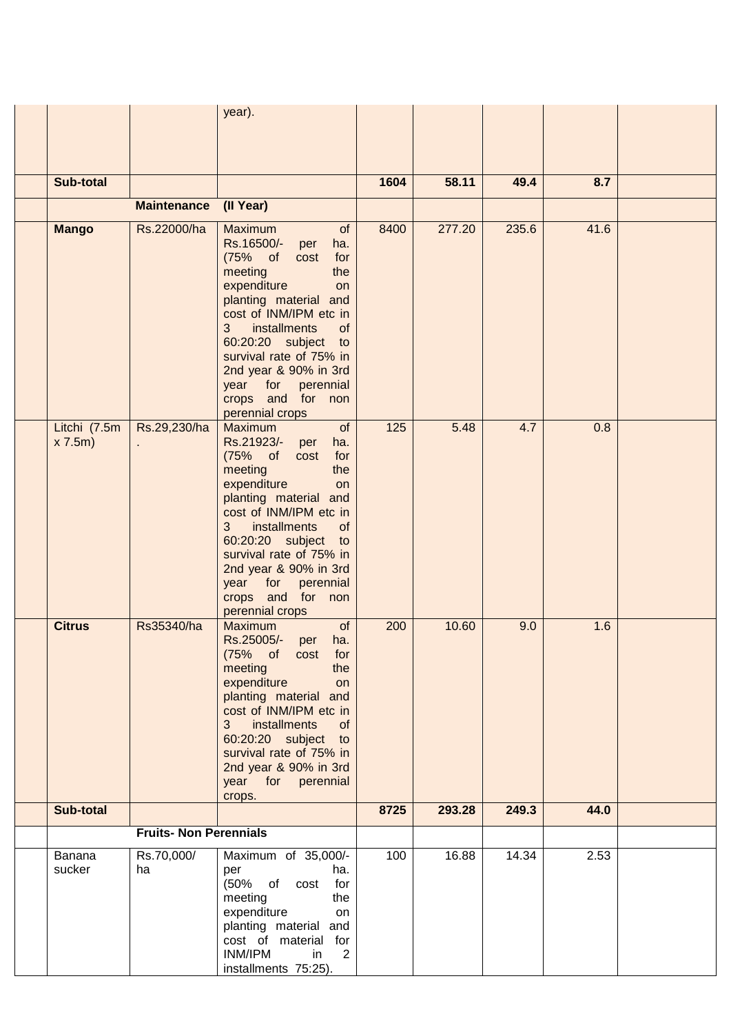|                        |                  | year).                                                                                                                                                                                                                                                                                                                                |                                                                                                            |             |                |       |      |
|------------------------|------------------|---------------------------------------------------------------------------------------------------------------------------------------------------------------------------------------------------------------------------------------------------------------------------------------------------------------------------------------|------------------------------------------------------------------------------------------------------------|-------------|----------------|-------|------|
|                        |                  |                                                                                                                                                                                                                                                                                                                                       |                                                                                                            |             |                |       |      |
|                        |                  |                                                                                                                                                                                                                                                                                                                                       |                                                                                                            |             |                |       |      |
| Sub-total              |                  |                                                                                                                                                                                                                                                                                                                                       | 1604                                                                                                       | 58.11       | 49.4           | 8.7   |      |
|                        |                  |                                                                                                                                                                                                                                                                                                                                       |                                                                                                            |             |                |       |      |
|                        |                  |                                                                                                                                                                                                                                                                                                                                       |                                                                                                            |             |                |       |      |
|                        |                  | Rs.16500/-<br>per<br>ha.<br>$(75\% \text{ of }$<br>cost<br>for<br>meeting<br>the<br>expenditure<br>on<br>planting material and<br>cost of INM/IPM etc in<br>3<br>installments<br>of<br>60:20:20 subject<br>to<br>survival rate of 75% in<br>2nd year & 90% in 3rd<br>year<br>for<br>perennial<br>crops and for non<br>perennial crops |                                                                                                            |             |                |       |      |
| Litchi (7.5m<br>x 7.5m |                  | of<br>Rs.21923/-<br>ha.<br>per<br>$(75\%$ of<br>for<br>cost<br>the<br>meeting<br>expenditure<br>on<br>planting material and<br>cost of INM/IPM etc in<br>3<br>installments<br>of<br>60:20:20 subject<br>to<br>survival rate of 75% in<br>2nd year & 90% in 3rd<br>year for<br>perennial<br>crops and for non                          |                                                                                                            |             | 4.7            | 0.8   |      |
| <b>Citrus</b>          | Rs35340/ha       | Maximum<br>of<br>Rs.25005/-<br>ha.<br>per<br>(75% of cost<br>for<br>meeting<br>the<br>expenditure<br>on<br>planting material and<br>cost of INM/IPM etc in<br>3 <sup>7</sup><br>installments<br>of<br>60:20:20 subject to<br>survival rate of 75% in<br>2nd year & 90% in 3rd<br>year for perennial                                   | 200                                                                                                        | 10.60       | 9.0            | 1.6   |      |
| Sub-total              |                  |                                                                                                                                                                                                                                                                                                                                       | 8725                                                                                                       | 293.28      | 249.3          | 44.0  |      |
|                        |                  |                                                                                                                                                                                                                                                                                                                                       |                                                                                                            |             |                |       |      |
| Banana<br>sucker       | Rs.70,000/<br>ha | Maximum of 35,000/-<br>ha.<br>per<br>$(50\% \text{ of cost})$<br>for<br>meeting<br>the<br>expenditure<br>on<br>planting material and<br>cost of material for<br>INM/IPM<br>$\overline{2}$<br>in<br>installments 75:25).                                                                                                               | 100                                                                                                        | 16.88       | 14.34          | 2.53  |      |
|                        | <b>Mango</b>     | <b>Maintenance</b><br>Rs.22000/ha<br>Rs.29,230/ha                                                                                                                                                                                                                                                                                     | (II Year)<br>Maximum<br>of<br><b>Maximum</b><br>perennial crops<br>crops.<br><b>Fruits- Non Perennials</b> | 8400<br>125 | 277.20<br>5.48 | 235.6 | 41.6 |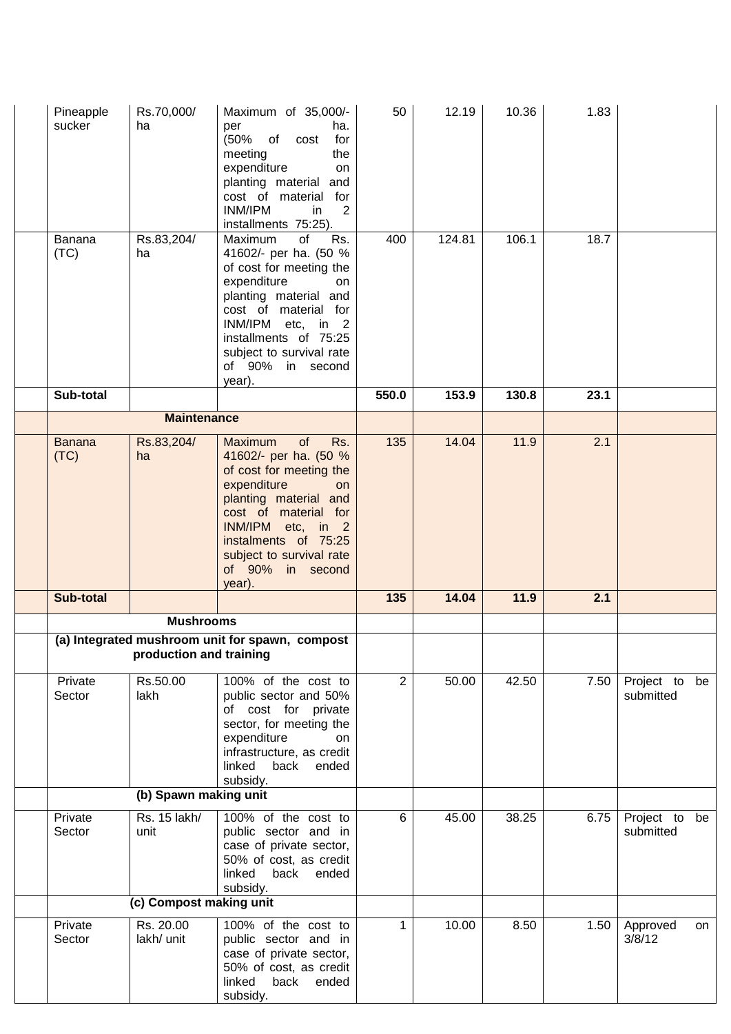| Pineapple<br>sucker   | Rs.70,000/<br>ha        | Maximum of 35,000/-<br>ha.<br>per<br>(50% of cost<br>for<br>meeting<br>the<br>expenditure<br>on<br>planting material<br>and<br>cost of material for<br>INM/IPM<br>2<br>in<br>installments 75:25).                                                            | 50               | 12.19  | 10.36  | 1.83 |                            |
|-----------------------|-------------------------|--------------------------------------------------------------------------------------------------------------------------------------------------------------------------------------------------------------------------------------------------------------|------------------|--------|--------|------|----------------------------|
| Banana<br>(TC)        | Rs.83,204/<br>ha        | Maximum<br>of<br>Rs.<br>41602/- per ha. (50 %<br>of cost for meeting the<br>expenditure<br>on<br>planting material and<br>cost of material for<br>INM/IPM etc, in 2<br>installments of 75:25<br>subject to survival rate<br>of 90% in second<br>year).       | 400              | 124.81 | 106.1  | 18.7 |                            |
| Sub-total             |                         |                                                                                                                                                                                                                                                              | 550.0            | 153.9  | 130.8  | 23.1 |                            |
|                       | <b>Maintenance</b>      |                                                                                                                                                                                                                                                              |                  |        |        |      |                            |
| <b>Banana</b><br>(TC) | Rs.83,204/<br>ha        | Rs.<br>of<br><b>Maximum</b><br>41602/- per ha. (50 %<br>of cost for meeting the<br>expenditure<br>on<br>planting material and<br>cost of material for<br>INM/IPM etc, in 2<br>instalments of 75:25<br>subject to survival rate<br>of 90% in second<br>year). | $\overline{135}$ | 14.04  | 11.9   | 2.1  |                            |
| <b>Sub-total</b>      |                         |                                                                                                                                                                                                                                                              | 135              | 14.04  | $11.9$ | 2.1  |                            |
|                       | <b>Mushrooms</b>        |                                                                                                                                                                                                                                                              |                  |        |        |      |                            |
|                       | production and training | (a) Integrated mushroom unit for spawn, compost                                                                                                                                                                                                              |                  |        |        |      |                            |
| Private<br>Sector     | Rs.50.00<br>lakh        | 100% of the cost to<br>public sector and 50%<br>of cost for private<br>sector, for meeting the<br>expenditure<br><b>on</b><br>infrastructure, as credit<br>linked<br>back<br>ended<br>subsidy.                                                               | $\overline{2}$   | 50.00  | 42.50  | 7.50 | Project to be<br>submitted |
|                       | (b) Spawn making unit   |                                                                                                                                                                                                                                                              |                  |        |        |      |                            |
| Private<br>Sector     | Rs. 15 lakh/<br>unit    | 100% of the cost to<br>public sector and in<br>case of private sector,<br>50% of cost, as credit<br>linked<br>back<br>ended<br>subsidy.                                                                                                                      | 6                | 45.00  | 38.25  | 6.75 | Project to be<br>submitted |
|                       | (c) Compost making unit |                                                                                                                                                                                                                                                              |                  |        |        |      |                            |
| Private<br>Sector     | Rs. 20.00<br>lakh/ unit | 100% of the cost to<br>public sector and in<br>case of private sector,<br>50% of cost, as credit<br>linked<br>back<br>ended<br>subsidy.                                                                                                                      | $\mathbf 1$      | 10.00  | 8.50   | 1.50 | Approved<br>on<br>3/8/12   |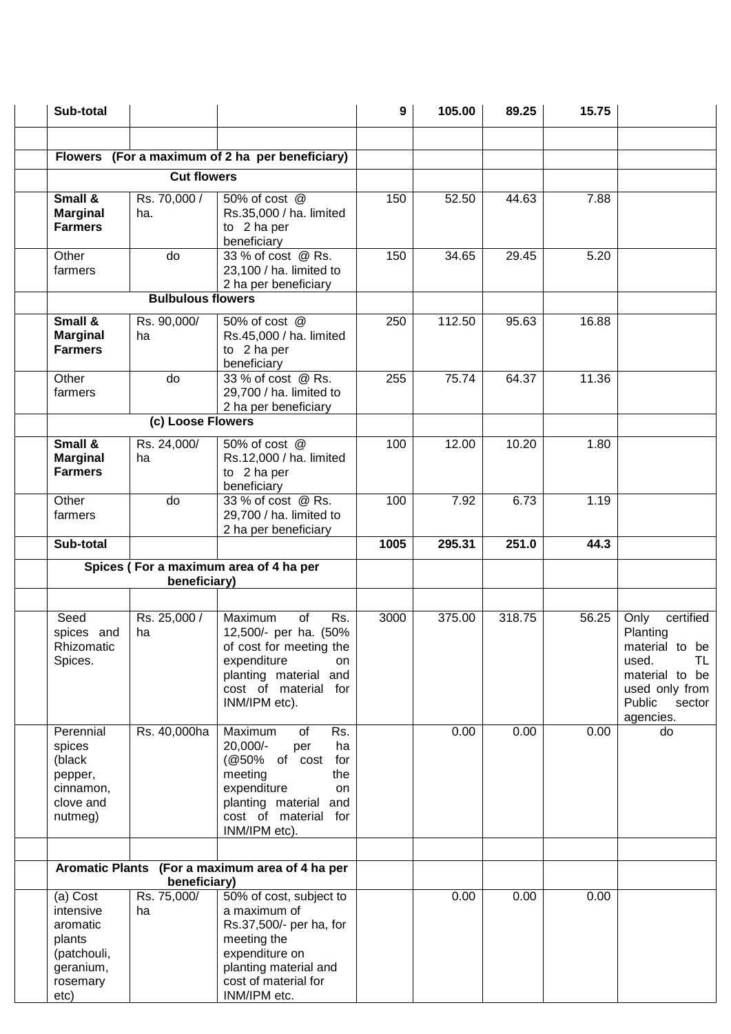| Sub-total                                                                                   |                                   |                                                                                                                                                                                | 9    | 105.00 | 89.25  | 15.75 |                                                                                                                                     |
|---------------------------------------------------------------------------------------------|-----------------------------------|--------------------------------------------------------------------------------------------------------------------------------------------------------------------------------|------|--------|--------|-------|-------------------------------------------------------------------------------------------------------------------------------------|
|                                                                                             |                                   |                                                                                                                                                                                |      |        |        |       |                                                                                                                                     |
|                                                                                             |                                   | Flowers (For a maximum of 2 ha per beneficiary)                                                                                                                                |      |        |        |       |                                                                                                                                     |
|                                                                                             | <b>Cut flowers</b>                |                                                                                                                                                                                |      |        |        |       |                                                                                                                                     |
| Small &<br><b>Marginal</b><br><b>Farmers</b>                                                | Rs. 70,000 /<br>ha.               | 50% of cost @<br>Rs.35,000 / ha. limited<br>to 2 ha per<br>beneficiary                                                                                                         | 150  | 52.50  | 44.63  | 7.88  |                                                                                                                                     |
| Other<br>farmers                                                                            | do                                | 33 % of cost @ Rs.<br>23,100 / ha. limited to<br>2 ha per beneficiary                                                                                                          | 150  | 34.65  | 29.45  | 5.20  |                                                                                                                                     |
|                                                                                             | <b>Bulbulous flowers</b>          |                                                                                                                                                                                |      |        |        |       |                                                                                                                                     |
| Small &<br><b>Marginal</b><br><b>Farmers</b>                                                | Rs. 90,000/<br>ha                 | 50% of cost @<br>Rs.45,000 / ha. limited<br>to 2 ha per<br>beneficiary                                                                                                         | 250  | 112.50 | 95.63  | 16.88 |                                                                                                                                     |
| Other<br>farmers                                                                            | do                                | 33 % of cost @ Rs.<br>29,700 / ha. limited to<br>2 ha per beneficiary                                                                                                          | 255  | 75.74  | 64.37  | 11.36 |                                                                                                                                     |
|                                                                                             | (c) Loose Flowers                 |                                                                                                                                                                                |      |        |        |       |                                                                                                                                     |
| Small &<br><b>Marginal</b><br><b>Farmers</b>                                                | Rs. 24,000/<br>ha                 | 50% of cost @<br>Rs.12,000 / ha. limited<br>to 2 ha per<br>beneficiary                                                                                                         | 100  | 12.00  | 10.20  | 1.80  |                                                                                                                                     |
| Other<br>farmers                                                                            | do                                | 33 % of cost @ Rs.<br>29,700 / ha. limited to<br>2 ha per beneficiary                                                                                                          | 100  | 7.92   | 6.73   | 1.19  |                                                                                                                                     |
| Sub-total                                                                                   |                                   |                                                                                                                                                                                | 1005 | 295.31 | 251.0  | 44.3  |                                                                                                                                     |
|                                                                                             | beneficiary)                      | Spices (For a maximum area of 4 ha per                                                                                                                                         |      |        |        |       |                                                                                                                                     |
|                                                                                             |                                   |                                                                                                                                                                                |      |        |        |       |                                                                                                                                     |
| Seed<br>spices and<br>Rhizomatic<br>Spices.                                                 | Rs. 25,000 /<br>ha                | Maximum<br>of<br>Rs.<br>12,500/- per ha. (50%<br>of cost for meeting the<br>expenditure<br>on<br>planting material and<br>cost of material for<br>INM/IPM etc).                | 3000 | 375.00 | 318.75 | 56.25 | certified<br>Only<br>Planting<br>material to be<br>TL<br>used.<br>material to be<br>used only from<br>Public<br>sector<br>agencies. |
| Perennial<br>spices<br>(black<br>pepper,<br>cinnamon,<br>clove and<br>nutmeg)               | Rs. 40,000ha                      | Maximum<br>of<br>Rs.<br>20,000/-<br>ha<br>per<br>(@50% of cost<br>for<br>meeting<br>the<br>expenditure<br>on<br>planting material and<br>cost of material for<br>INM/IPM etc). |      | 0.00   | 0.00   | 0.00  | do                                                                                                                                  |
|                                                                                             |                                   |                                                                                                                                                                                |      |        |        |       |                                                                                                                                     |
|                                                                                             |                                   | Aromatic Plants (For a maximum area of 4 ha per                                                                                                                                |      |        |        |       |                                                                                                                                     |
| (a) Cost<br>intensive<br>aromatic<br>plants<br>(patchouli,<br>geranium,<br>rosemary<br>etc) | beneficiary)<br>Rs. 75,000/<br>ha | 50% of cost, subject to<br>a maximum of<br>Rs.37,500/- per ha, for<br>meeting the<br>expenditure on<br>planting material and<br>cost of material for<br>INM/IPM etc.           |      | 0.00   | 0.00   | 0.00  |                                                                                                                                     |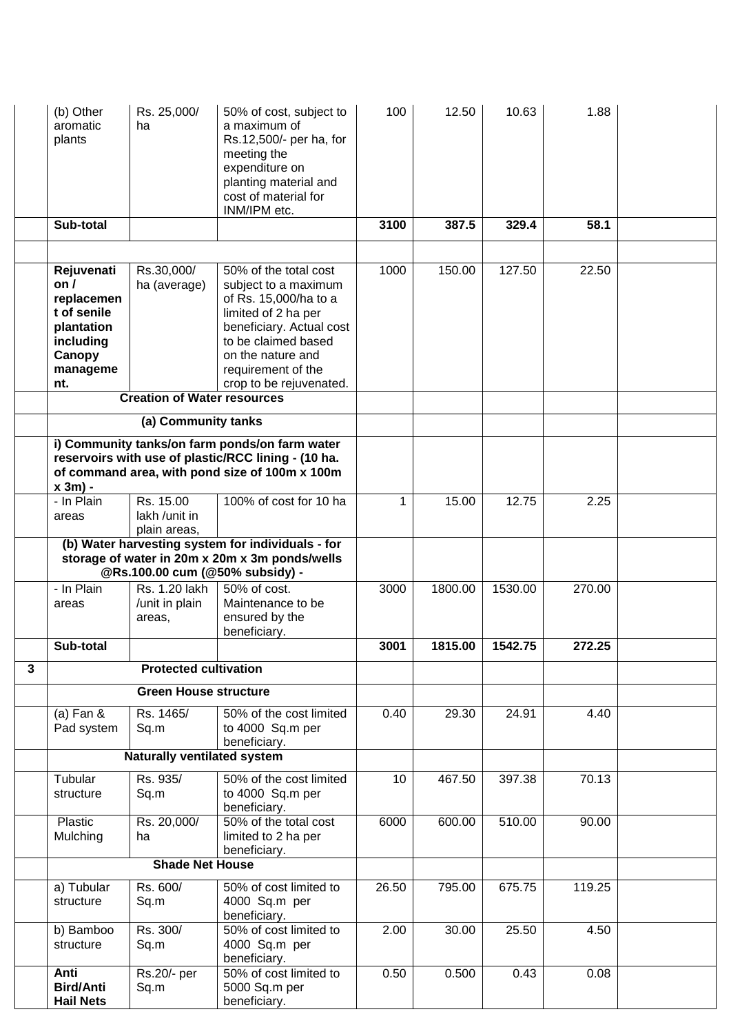|   | (b) Other<br>aromatic<br>plants                                                                                | Rs. 25,000/<br>ha                          | 50% of cost, subject to<br>a maximum of<br>Rs.12,500/- per ha, for<br>meeting the<br>expenditure on<br>planting material and<br>cost of material for<br>INM/IPM etc.                                                   | 100               | 12.50   | 10.63   | 1.88   |  |
|---|----------------------------------------------------------------------------------------------------------------|--------------------------------------------|------------------------------------------------------------------------------------------------------------------------------------------------------------------------------------------------------------------------|-------------------|---------|---------|--------|--|
|   | Sub-total                                                                                                      |                                            |                                                                                                                                                                                                                        | 3100              | 387.5   | 329.4   | 58.1   |  |
|   |                                                                                                                |                                            |                                                                                                                                                                                                                        |                   |         |         |        |  |
|   | Rejuvenati<br>on <i>I</i><br>replacemen<br>t of senile<br>plantation<br>including<br>Canopy<br>manageme<br>nt. | Rs.30,000/<br>ha (average)                 | 50% of the total cost<br>subject to a maximum<br>of Rs. 15,000/ha to a<br>limited of 2 ha per<br>beneficiary. Actual cost<br>to be claimed based<br>on the nature and<br>requirement of the<br>crop to be rejuvenated. | 1000              | 150.00  | 127.50  | 22.50  |  |
|   |                                                                                                                | <b>Creation of Water resources</b>         |                                                                                                                                                                                                                        |                   |         |         |        |  |
|   |                                                                                                                | (a) Community tanks                        |                                                                                                                                                                                                                        |                   |         |         |        |  |
|   | $x 3m$ ) -                                                                                                     |                                            | i) Community tanks/on farm ponds/on farm water<br>reservoirs with use of plastic/RCC lining - (10 ha.<br>of command area, with pond size of 100m x 100m                                                                |                   |         |         |        |  |
|   | - In Plain<br>areas                                                                                            | Rs. 15.00<br>lakh /unit in<br>plain areas, | 100% of cost for 10 ha                                                                                                                                                                                                 | 1                 | 15.00   | 12.75   | 2.25   |  |
|   |                                                                                                                |                                            | (b) Water harvesting system for individuals - for<br>storage of water in 20m x 20m x 3m ponds/wells<br>@Rs.100.00 cum (@50% subsidy) -                                                                                 |                   |         |         |        |  |
|   | - In Plain<br>areas                                                                                            | Rs. 1.20 lakh<br>/unit in plain<br>areas,  | 50% of cost.<br>Maintenance to be<br>ensured by the<br>beneficiary.                                                                                                                                                    | 3000              | 1800.00 | 1530.00 | 270.00 |  |
|   | Sub-total                                                                                                      |                                            |                                                                                                                                                                                                                        | $\overline{3}001$ | 1815.00 | 1542.75 | 272.25 |  |
| 3 |                                                                                                                | <b>Protected cultivation</b>               |                                                                                                                                                                                                                        |                   |         |         |        |  |
|   |                                                                                                                | <b>Green House structure</b>               |                                                                                                                                                                                                                        |                   |         |         |        |  |
|   | (a) Fan $&$<br>Pad system                                                                                      | Rs. 1465/<br>Sq.m                          | 50% of the cost limited<br>to 4000 Sq.m per<br>beneficiary.                                                                                                                                                            | 0.40              | 29.30   | 24.91   | 4.40   |  |
|   |                                                                                                                | <b>Naturally ventilated system</b>         |                                                                                                                                                                                                                        |                   |         |         |        |  |
|   | Tubular<br>structure                                                                                           | Rs. 935/<br>Sq.m                           | 50% of the cost limited<br>to 4000 Sq.m per<br>beneficiary.                                                                                                                                                            | 10                | 467.50  | 397.38  | 70.13  |  |
|   | Plastic<br>Mulching                                                                                            | Rs. 20,000/<br>ha                          | 50% of the total cost<br>limited to 2 ha per<br>beneficiary.                                                                                                                                                           | 6000              | 600.00  | 510.00  | 90.00  |  |
|   |                                                                                                                | <b>Shade Net House</b>                     |                                                                                                                                                                                                                        |                   |         |         |        |  |
|   | a) Tubular<br>structure                                                                                        | Rs. 600/<br>Sq.m                           | 50% of cost limited to<br>4000 Sq.m per<br>beneficiary.                                                                                                                                                                | 26.50             | 795.00  | 675.75  | 119.25 |  |
|   | b) Bamboo<br>structure                                                                                         | Rs. 300/<br>Sq.m                           | 50% of cost limited to<br>4000 Sq.m per<br>beneficiary.                                                                                                                                                                | 2.00              | 30.00   | 25.50   | 4.50   |  |
|   | Anti<br><b>Bird/Anti</b><br><b>Hail Nets</b>                                                                   | Rs.20/- per<br>Sq.m                        | 50% of cost limited to<br>5000 Sq.m per<br>beneficiary.                                                                                                                                                                | 0.50              | 0.500   | 0.43    | 0.08   |  |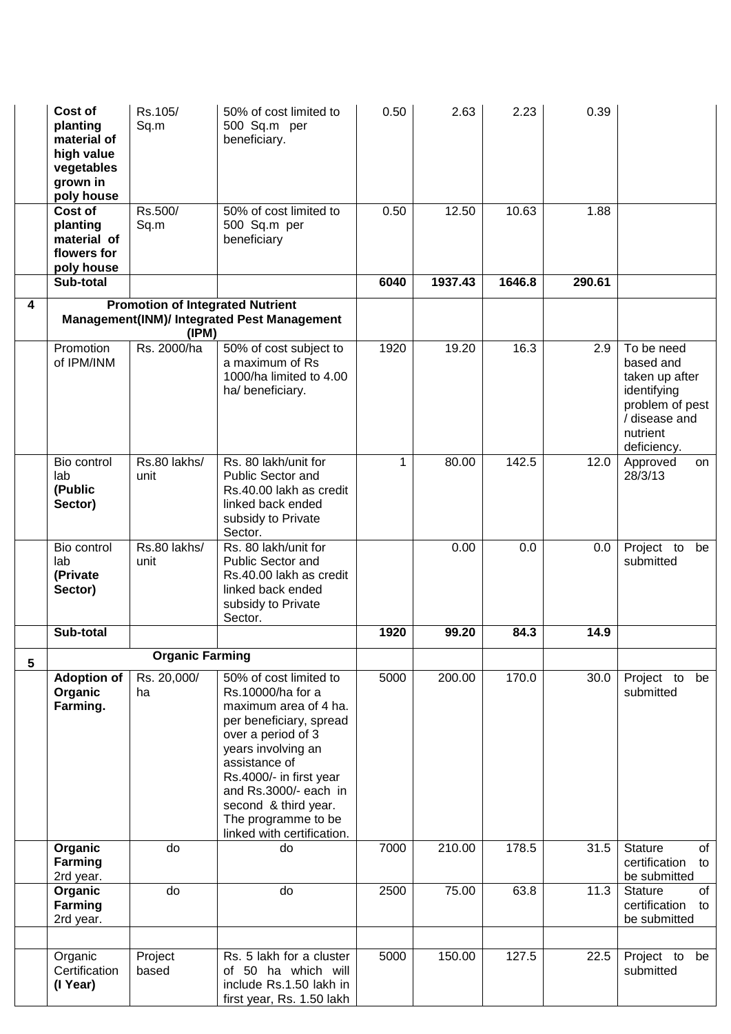|                         | Cost of<br>planting<br>material of<br>high value<br>vegetables<br>grown in<br>poly house | Rs.105/<br>Sq.m                                  | 50% of cost limited to<br>500 Sq.m per<br>beneficiary.                                                                                                                                                                                                                                        | 0.50        | 2.63    | 2.23   | 0.39   |                                                                                                                         |
|-------------------------|------------------------------------------------------------------------------------------|--------------------------------------------------|-----------------------------------------------------------------------------------------------------------------------------------------------------------------------------------------------------------------------------------------------------------------------------------------------|-------------|---------|--------|--------|-------------------------------------------------------------------------------------------------------------------------|
|                         | Cost of<br>planting<br>material of<br>flowers for<br>poly house                          | Rs.500/<br>Sq.m                                  | 50% of cost limited to<br>500 Sq.m per<br>beneficiary                                                                                                                                                                                                                                         | 0.50        | 12.50   | 10.63  | 1.88   |                                                                                                                         |
|                         | Sub-total                                                                                |                                                  |                                                                                                                                                                                                                                                                                               | 6040        | 1937.43 | 1646.8 | 290.61 |                                                                                                                         |
| $\overline{\mathbf{4}}$ |                                                                                          | <b>Promotion of Integrated Nutrient</b><br>(IPM) | Management(INM)/ Integrated Pest Management                                                                                                                                                                                                                                                   |             |         |        |        |                                                                                                                         |
|                         | Promotion<br>of IPM/INM                                                                  | Rs. 2000/ha                                      | 50% of cost subject to<br>a maximum of Rs<br>1000/ha limited to 4.00<br>ha/ beneficiary.                                                                                                                                                                                                      | 1920        | 19.20   | 16.3   | 2.9    | To be need<br>based and<br>taken up after<br>identifying<br>problem of pest<br>/ disease and<br>nutrient<br>deficiency. |
|                         | Bio control<br>lab<br>(Public<br>Sector)                                                 | Rs.80 lakhs/<br>unit                             | Rs. 80 lakh/unit for<br><b>Public Sector and</b><br>Rs.40.00 lakh as credit<br>linked back ended<br>subsidy to Private<br>Sector.                                                                                                                                                             | $\mathbf 1$ | 80.00   | 142.5  | 12.0   | Approved<br>on<br>28/3/13                                                                                               |
|                         | Bio control<br>lab<br>(Private<br>Sector)                                                | Rs.80 lakhs/<br>unit                             | Rs. 80 lakh/unit for<br><b>Public Sector and</b><br>Rs.40.00 lakh as credit<br>linked back ended<br>subsidy to Private<br>Sector.                                                                                                                                                             |             | 0.00    | 0.0    | 0.0    | Project to<br>be<br>submitted                                                                                           |
|                         | Sub-total                                                                                |                                                  |                                                                                                                                                                                                                                                                                               | 1920        | 99.20   | 84.3   | 14.9   |                                                                                                                         |
| $5\phantom{.0}$         |                                                                                          | <b>Organic Farming</b>                           |                                                                                                                                                                                                                                                                                               |             |         |        |        |                                                                                                                         |
|                         | <b>Adoption of</b><br>Organic<br>Farming.                                                | Rs. 20,000/<br>ha                                | 50% of cost limited to<br>Rs.10000/ha for a<br>maximum area of 4 ha.<br>per beneficiary, spread<br>over a period of 3<br>years involving an<br>assistance of<br>Rs.4000/- in first year<br>and Rs.3000/- each in<br>second & third year.<br>The programme to be<br>linked with certification. | 5000        | 200.00  | 170.0  | 30.0   | Project to<br>be<br>submitted                                                                                           |
|                         | Organic<br><b>Farming</b><br>2rd year.                                                   | do                                               | do                                                                                                                                                                                                                                                                                            | 7000        | 210.00  | 178.5  | 31.5   | <b>Stature</b><br>of<br>certification<br>to<br>be submitted                                                             |
|                         | Organic<br>Farming<br>2rd year.                                                          | do                                               | do                                                                                                                                                                                                                                                                                            | 2500        | 75.00   | 63.8   | 11.3   | of<br><b>Stature</b><br>certification<br>to<br>be submitted                                                             |
|                         | Organic<br>Certification<br>(I Year)                                                     | Project<br>based                                 | Rs. 5 lakh for a cluster<br>of 50 ha which will<br>include Rs.1.50 lakh in<br>first year, Rs. 1.50 lakh                                                                                                                                                                                       | 5000        | 150.00  | 127.5  | 22.5   | Project to<br>be<br>submitted                                                                                           |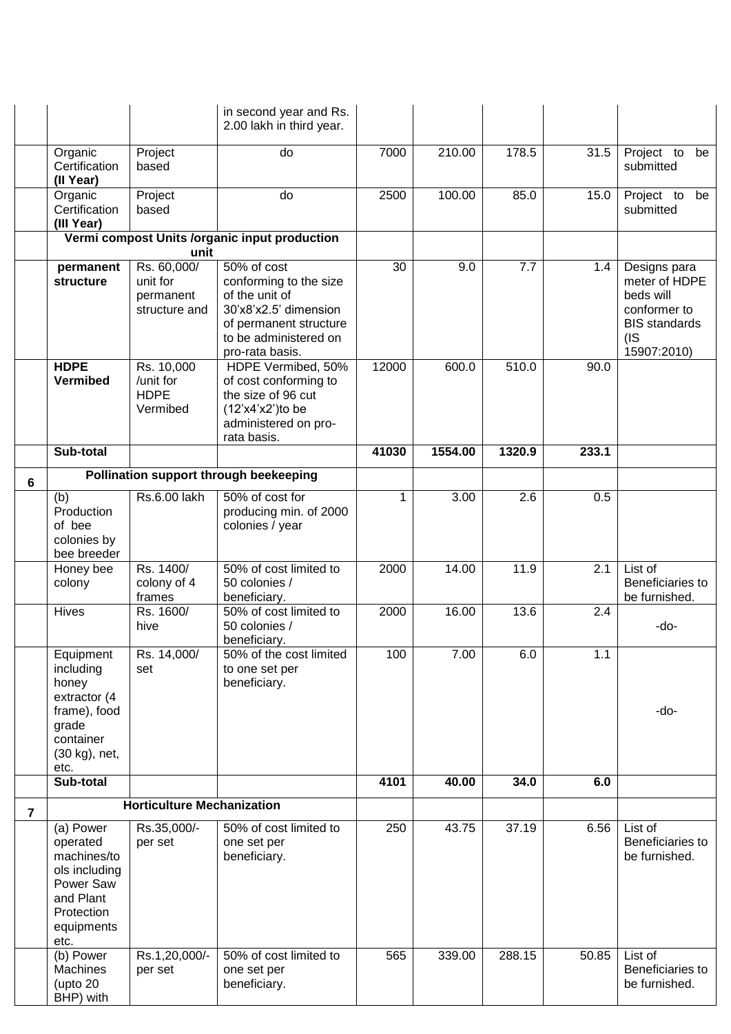|   |                                                                                                                     |                                                    | in second year and Rs.<br>2.00 lakh in third year.                                                                                      |       |         |        |       |                                                                                           |
|---|---------------------------------------------------------------------------------------------------------------------|----------------------------------------------------|-----------------------------------------------------------------------------------------------------------------------------------------|-------|---------|--------|-------|-------------------------------------------------------------------------------------------|
|   | Organic<br>Certification<br>(II Year)                                                                               | Project<br>based                                   | do                                                                                                                                      | 7000  | 210.00  | 178.5  | 31.5  | Project to<br>be<br>submitted                                                             |
|   | Organic<br>Certification<br>(III Year)                                                                              | Project<br>based                                   | do                                                                                                                                      | 2500  | 100.00  | 85.0   | 15.0  | Project to<br>be<br>submitted                                                             |
|   |                                                                                                                     |                                                    | Vermi compost Units /organic input production                                                                                           |       |         |        |       |                                                                                           |
|   | permanent                                                                                                           | unit<br>Rs. 60,000/                                | 50% of cost                                                                                                                             | 30    | 9.0     | 7.7    | 1.4   | Designs para                                                                              |
|   | structure                                                                                                           | unit for<br>permanent<br>structure and             | conforming to the size<br>of the unit of<br>30'x8'x2.5' dimension<br>of permanent structure<br>to be administered on<br>pro-rata basis. |       |         |        |       | meter of HDPE<br>beds will<br>conformer to<br><b>BIS standards</b><br>(IS)<br>15907:2010) |
|   | <b>HDPE</b><br>Vermibed                                                                                             | Rs. 10,000<br>/unit for<br><b>HDPE</b><br>Vermibed | HDPE Vermibed, 50%<br>of cost conforming to<br>the size of 96 cut<br>$(12'x4'x2')$ to be<br>administered on pro-<br>rata basis.         | 12000 | 600.0   | 510.0  | 90.0  |                                                                                           |
|   | Sub-total                                                                                                           |                                                    |                                                                                                                                         | 41030 | 1554.00 | 1320.9 | 233.1 |                                                                                           |
| 6 |                                                                                                                     |                                                    | Pollination support through beekeeping                                                                                                  |       |         |        |       |                                                                                           |
|   | (b)<br>Production<br>of bee<br>colonies by<br>bee breeder                                                           | Rs.6.00 lakh                                       | 50% of cost for<br>producing min. of 2000<br>colonies / year                                                                            | 1     | 3.00    | 2.6    | 0.5   |                                                                                           |
|   | Honey bee<br>colony                                                                                                 | Rs. 1400/<br>colony of 4<br>frames                 | 50% of cost limited to<br>50 colonies /<br>beneficiary.                                                                                 | 2000  | 14.00   | 11.9   | 2.1   | List of<br>Beneficiaries to<br>be furnished.                                              |
|   | <b>Hives</b>                                                                                                        | Rs. 1600/<br>hive                                  | 50% of cost limited to<br>50 colonies /<br>beneficiary.                                                                                 | 2000  | 16.00   | 13.6   | 2.4   | -do-                                                                                      |
|   | Equipment<br>including<br>honey<br>extractor (4<br>frame), food<br>grade<br>container<br>(30 kg), net,<br>etc.      | Rs. 14,000/<br>set                                 | 50% of the cost limited<br>to one set per<br>beneficiary.                                                                               | 100   | 7.00    | 6.0    | 1.1   | -do-                                                                                      |
|   | Sub-total                                                                                                           |                                                    |                                                                                                                                         | 4101  | 40.00   | 34.0   | 6.0   |                                                                                           |
| 7 |                                                                                                                     | <b>Horticulture Mechanization</b>                  |                                                                                                                                         |       |         |        |       |                                                                                           |
|   | (a) Power<br>operated<br>machines/to<br>ols including<br>Power Saw<br>and Plant<br>Protection<br>equipments<br>etc. | Rs.35,000/-<br>per set                             | 50% of cost limited to<br>one set per<br>beneficiary.                                                                                   | 250   | 43.75   | 37.19  | 6.56  | List of<br>Beneficiaries to<br>be furnished.                                              |
|   | (b) Power<br><b>Machines</b><br>(upto 20<br>BHP) with                                                               | Rs.1,20,000/-<br>per set                           | 50% of cost limited to<br>one set per<br>beneficiary.                                                                                   | 565   | 339.00  | 288.15 | 50.85 | List of<br>Beneficiaries to<br>be furnished.                                              |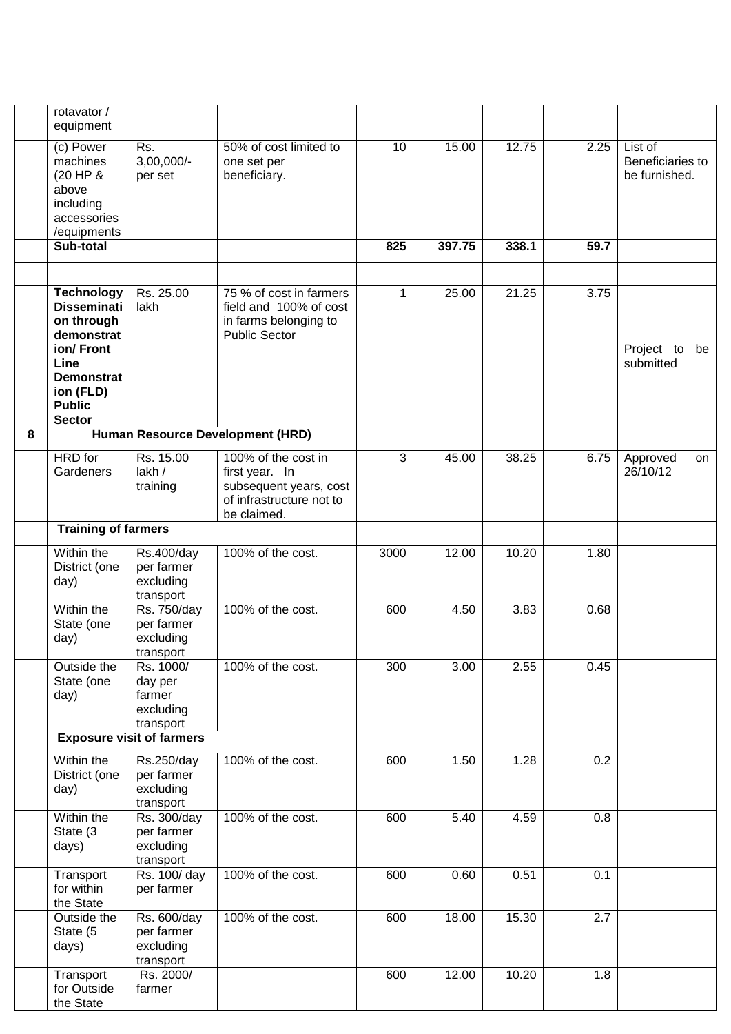|   | rotavator /<br>equipment                                                                                                                                     |                                                          |                                                                                                            |             |        |       |      |                                              |
|---|--------------------------------------------------------------------------------------------------------------------------------------------------------------|----------------------------------------------------------|------------------------------------------------------------------------------------------------------------|-------------|--------|-------|------|----------------------------------------------|
|   | (c) Power<br>machines<br>(20 HP &<br>above<br>including<br>accessories<br>/equipments                                                                        | Rs.<br>$3,00,000/-$<br>per set                           | 50% of cost limited to<br>one set per<br>beneficiary.                                                      | 10          | 15.00  | 12.75 | 2.25 | List of<br>Beneficiaries to<br>be furnished. |
|   | Sub-total                                                                                                                                                    |                                                          |                                                                                                            | 825         | 397.75 | 338.1 | 59.7 |                                              |
|   |                                                                                                                                                              |                                                          |                                                                                                            |             |        |       |      |                                              |
|   | <b>Technology</b><br><b>Disseminati</b><br>on through<br>demonstrat<br>ion/Front<br>Line<br><b>Demonstrat</b><br>ion (FLD)<br><b>Public</b><br><b>Sector</b> | Rs. 25.00<br>lakh                                        | 75 % of cost in farmers<br>field and 100% of cost<br>in farms belonging to<br><b>Public Sector</b>         | $\mathbf 1$ | 25.00  | 21.25 | 3.75 | Project to<br>be<br>submitted                |
| 8 |                                                                                                                                                              |                                                          | Human Resource Development (HRD)                                                                           |             |        |       |      |                                              |
|   | <b>HRD</b> for<br>Gardeners                                                                                                                                  | Rs. 15.00<br>lakh /<br>training                          | 100% of the cost in<br>first year. In<br>subsequent years, cost<br>of infrastructure not to<br>be claimed. | 3           | 45.00  | 38.25 | 6.75 | Approved<br>on<br>26/10/12                   |
|   | <b>Training of farmers</b>                                                                                                                                   |                                                          |                                                                                                            |             |        |       |      |                                              |
|   | Within the<br>District (one<br>day)                                                                                                                          | Rs.400/day<br>per farmer<br>excluding<br>transport       | 100% of the cost.                                                                                          | 3000        | 12.00  | 10.20 | 1.80 |                                              |
|   | Within the<br>State (one<br>day)                                                                                                                             | Rs. 750/day<br>per farmer<br>excluding<br>transport      | 100% of the cost.                                                                                          | 600         | 4.50   | 3.83  | 0.68 |                                              |
|   | Outside the<br>State (one<br>day)                                                                                                                            | Rs. 1000/<br>day per<br>farmer<br>excluding<br>transport | 100% of the cost.                                                                                          | 300         | 3.00   | 2.55  | 0.45 |                                              |
|   |                                                                                                                                                              | <b>Exposure visit of farmers</b>                         |                                                                                                            |             |        |       |      |                                              |
|   | Within the<br>District (one<br>day)                                                                                                                          | Rs.250/day<br>per farmer<br>excluding<br>transport       | 100% of the cost.                                                                                          | 600         | 1.50   | 1.28  | 0.2  |                                              |
|   | Within the<br>State (3<br>days)                                                                                                                              | Rs. 300/day<br>per farmer<br>excluding<br>transport      | 100% of the cost.                                                                                          | 600         | 5.40   | 4.59  | 0.8  |                                              |
|   | Transport<br>for within<br>the State                                                                                                                         | Rs. 100/ day<br>per farmer                               | 100% of the cost.                                                                                          | 600         | 0.60   | 0.51  | 0.1  |                                              |
|   | Outside the<br>State (5<br>days)                                                                                                                             | Rs. 600/day<br>per farmer<br>excluding<br>transport      | 100% of the cost.                                                                                          | 600         | 18.00  | 15.30 | 2.7  |                                              |
|   | Transport<br>for Outside<br>the State                                                                                                                        | Rs. 2000/<br>farmer                                      |                                                                                                            | 600         | 12.00  | 10.20 | 1.8  |                                              |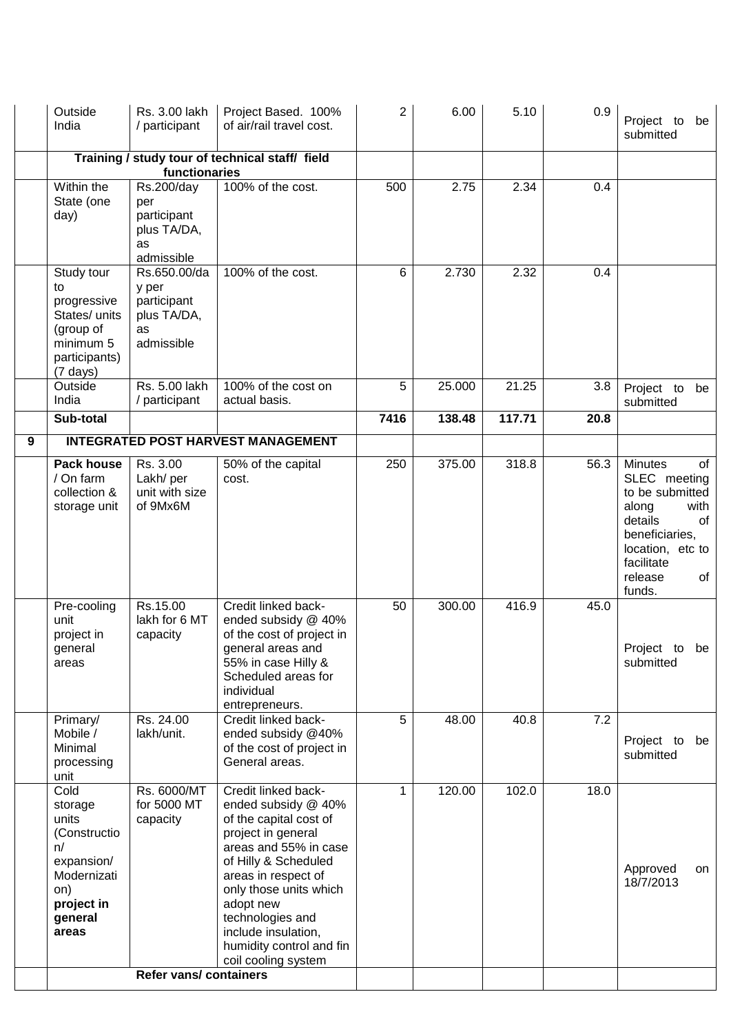|   | Outside<br>India                                                                                                     | Rs. 3.00 lakh<br>/ participant                                          | Project Based. 100%<br>of air/rail travel cost.                                                                                                                                                                                                                                                         | 2           | 6.00   | 5.10   | 0.9  | Project to<br>be<br>submitted                                                                                                                                            |
|---|----------------------------------------------------------------------------------------------------------------------|-------------------------------------------------------------------------|---------------------------------------------------------------------------------------------------------------------------------------------------------------------------------------------------------------------------------------------------------------------------------------------------------|-------------|--------|--------|------|--------------------------------------------------------------------------------------------------------------------------------------------------------------------------|
|   |                                                                                                                      | functionaries                                                           | Training / study tour of technical staff/ field                                                                                                                                                                                                                                                         |             |        |        |      |                                                                                                                                                                          |
|   | Within the<br>State (one<br>day)                                                                                     | Rs.200/day<br>per<br>participant<br>plus TA/DA,<br>as<br>admissible     | 100% of the cost.                                                                                                                                                                                                                                                                                       | 500         | 2.75   | 2.34   | 0.4  |                                                                                                                                                                          |
|   | Study tour<br>to<br>progressive<br>States/ units<br>(group of<br>minimum 5<br>participants)<br>$(7 \text{ days})$    | Rs.650.00/da<br>y per<br>participant<br>plus TA/DA,<br>as<br>admissible | 100% of the cost.                                                                                                                                                                                                                                                                                       | 6           | 2.730  | 2.32   | 0.4  |                                                                                                                                                                          |
|   | Outside<br>India                                                                                                     | Rs. 5.00 lakh<br>/ participant                                          | 100% of the cost on<br>actual basis.                                                                                                                                                                                                                                                                    | 5           | 25.000 | 21.25  | 3.8  | Project to<br>be<br>submitted                                                                                                                                            |
|   | Sub-total                                                                                                            |                                                                         |                                                                                                                                                                                                                                                                                                         | 7416        | 138.48 | 117.71 | 20.8 |                                                                                                                                                                          |
| 9 |                                                                                                                      |                                                                         | <b>INTEGRATED POST HARVEST MANAGEMENT</b>                                                                                                                                                                                                                                                               |             |        |        |      |                                                                                                                                                                          |
|   | Pack house<br>/ On farm<br>collection &<br>storage unit                                                              | Rs. 3.00<br>Lakh/per<br>unit with size<br>of 9Mx6M                      | 50% of the capital<br>cost.                                                                                                                                                                                                                                                                             | 250         | 375.00 | 318.8  | 56.3 | <b>Minutes</b><br>of<br>SLEC meeting<br>to be submitted<br>along<br>with<br>details<br>of<br>beneficiaries,<br>location, etc to<br>facilitate<br>release<br>of<br>funds. |
|   | Pre-cooling<br>unit<br>project in<br>general<br>areas                                                                | Rs.15.00<br>lakh for 6 MT<br>capacity                                   | Credit linked back-<br>ended subsidy @ 40%<br>of the cost of project in<br>general areas and<br>55% in case Hilly &<br>Scheduled areas for<br>individual<br>entrepreneurs.                                                                                                                              | 50          | 300.00 | 416.9  | 45.0 | Project to be<br>submitted                                                                                                                                               |
|   | Primary/<br>Mobile /<br>Minimal<br>processing<br>unit                                                                | Rs. 24.00<br>lakh/unit.                                                 | Credit linked back-<br>ended subsidy @40%<br>of the cost of project in<br>General areas.                                                                                                                                                                                                                | 5           | 48.00  | 40.8   | 7.2  | Project to be<br>submitted                                                                                                                                               |
|   | Cold<br>storage<br>units<br>(Constructio<br>n/<br>expansion/<br>Modernizati<br>on)<br>project in<br>general<br>areas | Rs. 6000/MT<br>for 5000 MT<br>capacity                                  | Credit linked back-<br>ended subsidy @ 40%<br>of the capital cost of<br>project in general<br>areas and 55% in case<br>of Hilly & Scheduled<br>areas in respect of<br>only those units which<br>adopt new<br>technologies and<br>include insulation,<br>humidity control and fin<br>coil cooling system | $\mathbf 1$ | 120.00 | 102.0  | 18.0 | Approved<br>on<br>18/7/2013                                                                                                                                              |
|   |                                                                                                                      | <b>Refer vans/ containers</b>                                           |                                                                                                                                                                                                                                                                                                         |             |        |        |      |                                                                                                                                                                          |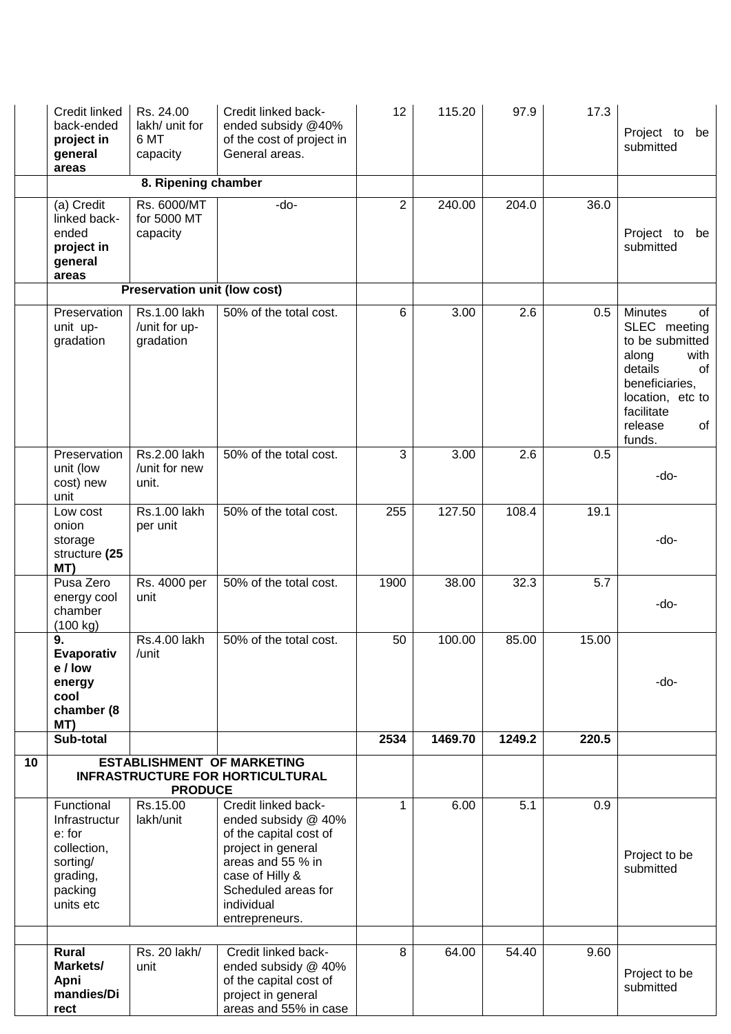|    | <b>Credit linked</b><br>back-ended<br>project in<br>general<br>areas                                 | Rs. 24.00<br>lakh/ unit for<br>6 MT<br>capacity | Credit linked back-<br>ended subsidy @40%<br>of the cost of project in<br>General areas.                                                                                                  | 12             | 115.20  | 97.9   | 17.3  | Project to<br>be<br>submitted                                                                                                                                            |
|----|------------------------------------------------------------------------------------------------------|-------------------------------------------------|-------------------------------------------------------------------------------------------------------------------------------------------------------------------------------------------|----------------|---------|--------|-------|--------------------------------------------------------------------------------------------------------------------------------------------------------------------------|
|    |                                                                                                      | 8. Ripening chamber                             |                                                                                                                                                                                           |                |         |        |       |                                                                                                                                                                          |
|    | (a) Credit<br>linked back-<br>ended<br>project in<br>general<br>areas                                | Rs. 6000/MT<br>for 5000 MT<br>capacity          | -do-                                                                                                                                                                                      | $\overline{2}$ | 240.00  | 204.0  | 36.0  | Project to<br>be<br>submitted                                                                                                                                            |
|    |                                                                                                      | Preservation unit (low cost)                    |                                                                                                                                                                                           |                |         |        |       |                                                                                                                                                                          |
|    | Preservation<br>unit up-<br>gradation                                                                | Rs.1.00 lakh<br>/unit for up-<br>gradation      | 50% of the total cost.                                                                                                                                                                    | 6              | 3.00    | 2.6    | 0.5   | <b>Minutes</b><br>οf<br>SLEC meeting<br>to be submitted<br>along<br>with<br>details<br>of<br>beneficiaries,<br>location, etc to<br>facilitate<br>release<br>of<br>funds. |
|    | Preservation<br>unit (low<br>cost) new<br>unit                                                       | Rs.2.00 lakh<br>/unit for new<br>unit.          | 50% of the total cost.                                                                                                                                                                    | 3              | 3.00    | 2.6    | 0.5   | -do-                                                                                                                                                                     |
|    | Low cost<br>onion<br>storage<br>structure (25<br>MT)                                                 | Rs.1.00 lakh<br>per unit                        | 50% of the total cost.                                                                                                                                                                    | 255            | 127.50  | 108.4  | 19.1  | -do-                                                                                                                                                                     |
|    | Pusa Zero<br>energy cool<br>chamber<br>(100 kg)                                                      | Rs. 4000 per<br>unit                            | 50% of the total cost.                                                                                                                                                                    | 1900           | 38.00   | 32.3   | 5.7   | -do-                                                                                                                                                                     |
|    | 9.<br>Evaporativ<br>e / low<br>energy<br>cool<br>chamber (8<br>MT)                                   | Rs.4.00 lakh<br>/unit                           | 50% of the total cost.                                                                                                                                                                    | 50             | 100.00  | 85.00  | 15.00 | -do-                                                                                                                                                                     |
|    | Sub-total                                                                                            |                                                 |                                                                                                                                                                                           | 2534           | 1469.70 | 1249.2 | 220.5 |                                                                                                                                                                          |
| 10 |                                                                                                      | <b>PRODUCE</b>                                  | <b>ESTABLISHMENT OF MARKETING</b><br><b>INFRASTRUCTURE FOR HORTICULTURAL</b>                                                                                                              |                |         |        |       |                                                                                                                                                                          |
|    | Functional<br>Infrastructur<br>e: for<br>collection,<br>sorting/<br>grading,<br>packing<br>units etc | Rs.15.00<br>lakh/unit                           | Credit linked back-<br>ended subsidy @ 40%<br>of the capital cost of<br>project in general<br>areas and 55 % in<br>case of Hilly &<br>Scheduled areas for<br>individual<br>entrepreneurs. | 1              | 6.00    | 5.1    | 0.9   | Project to be<br>submitted                                                                                                                                               |
|    | <b>Rural</b><br>Markets/<br>Apni<br>mandies/Di<br>rect                                               | Rs. 20 lakh/<br>unit                            | Credit linked back-<br>ended subsidy @ 40%<br>of the capital cost of<br>project in general<br>areas and 55% in case                                                                       | 8              | 64.00   | 54.40  | 9.60  | Project to be<br>submitted                                                                                                                                               |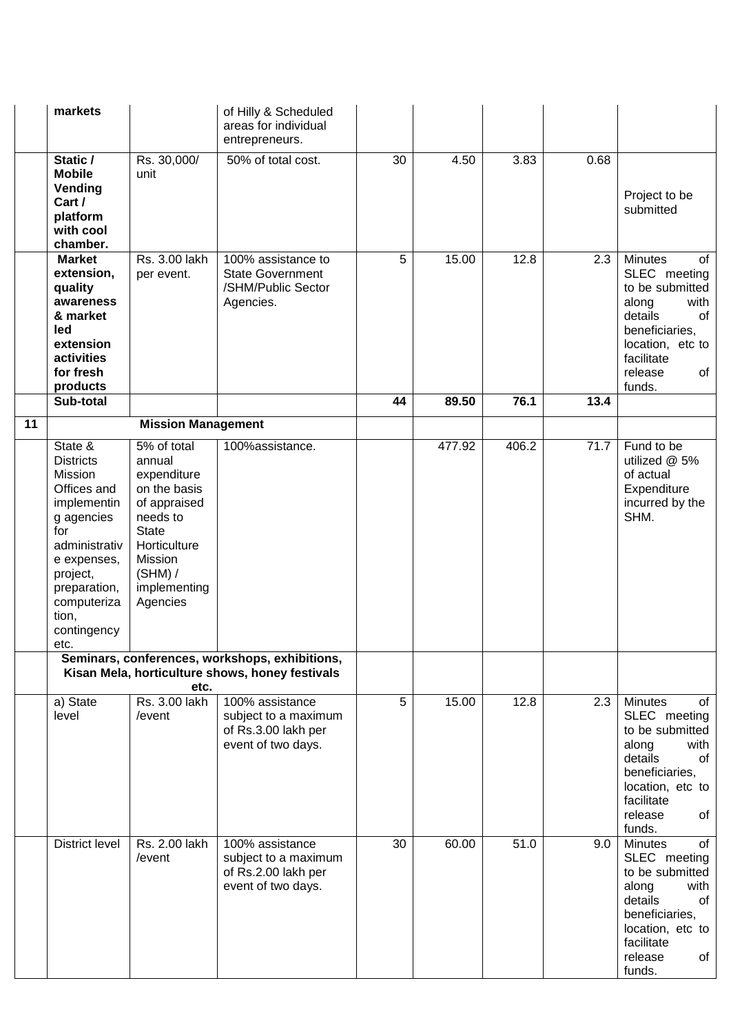|    | markets                                                                                                                                                                                              |                                                                                                                                                                    | of Hilly & Scheduled<br>areas for individual<br>entrepreneurs.                                    |    |        |       |      |                                                                                                                                                                          |
|----|------------------------------------------------------------------------------------------------------------------------------------------------------------------------------------------------------|--------------------------------------------------------------------------------------------------------------------------------------------------------------------|---------------------------------------------------------------------------------------------------|----|--------|-------|------|--------------------------------------------------------------------------------------------------------------------------------------------------------------------------|
|    | Static /<br><b>Mobile</b><br>Vending<br>Cart /<br>platform<br>with cool<br>chamber.                                                                                                                  | Rs. 30,000/<br>unit                                                                                                                                                | 50% of total cost.                                                                                | 30 | 4.50   | 3.83  | 0.68 | Project to be<br>submitted                                                                                                                                               |
|    | <b>Market</b><br>extension,<br>quality<br>awareness<br>& market<br>led<br>extension<br>activities<br>for fresh<br>products                                                                           | Rs. 3.00 lakh<br>per event.                                                                                                                                        | 100% assistance to<br><b>State Government</b><br>/SHM/Public Sector<br>Agencies.                  | 5  | 15.00  | 12.8  | 2.3  | <b>Minutes</b><br>of<br>SLEC meeting<br>to be submitted<br>along<br>with<br>details<br>of<br>beneficiaries,<br>location, etc to<br>facilitate<br>release<br>of<br>funds. |
|    | Sub-total                                                                                                                                                                                            |                                                                                                                                                                    |                                                                                                   | 44 | 89.50  | 76.1  | 13.4 |                                                                                                                                                                          |
| 11 |                                                                                                                                                                                                      | <b>Mission Management</b>                                                                                                                                          |                                                                                                   |    |        |       |      |                                                                                                                                                                          |
|    | State &<br><b>Districts</b><br>Mission<br>Offices and<br>implementin<br>g agencies<br>for<br>administrativ<br>e expenses,<br>project,<br>preparation,<br>computeriza<br>tion,<br>contingency<br>etc. | 5% of total<br>annual<br>expenditure<br>on the basis<br>of appraised<br>needs to<br><b>State</b><br>Horticulture<br>Mission<br>(SHM) /<br>implementing<br>Agencies | 100%assistance.                                                                                   |    | 477.92 | 406.2 | 71.7 | Fund to be<br>utilized @ 5%<br>of actual<br>Expenditure<br>incurred by the<br>SHM.                                                                                       |
|    |                                                                                                                                                                                                      | etc.                                                                                                                                                               | Seminars, conferences, workshops, exhibitions,<br>Kisan Mela, horticulture shows, honey festivals |    |        |       |      |                                                                                                                                                                          |
|    | a) State<br>level                                                                                                                                                                                    | Rs. 3.00 lakh<br>/event                                                                                                                                            | 100% assistance<br>subject to a maximum<br>of Rs.3.00 lakh per<br>event of two days.              | 5  | 15.00  | 12.8  | 2.3  | <b>Minutes</b><br>of<br>SLEC meeting<br>to be submitted<br>along<br>with<br>details<br>of<br>beneficiaries,<br>location, etc to<br>facilitate<br>release<br>of<br>funds. |
|    | <b>District level</b>                                                                                                                                                                                | Rs. 2.00 lakh<br>/event                                                                                                                                            | 100% assistance<br>subject to a maximum<br>of Rs.2.00 lakh per<br>event of two days.              | 30 | 60.00  | 51.0  | 9.0  | <b>Minutes</b><br>of<br>SLEC meeting<br>to be submitted<br>along<br>with<br>details<br>of<br>beneficiaries,<br>location, etc to<br>facilitate<br>release<br>of<br>funds. |